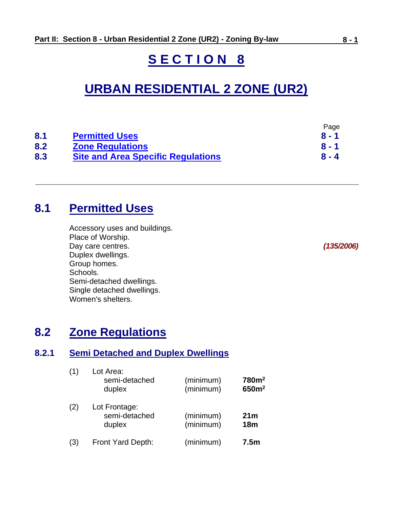# **S E C T I O N 8**

# **URBAN RESIDENTIAL 2 ZONE (UR2)**

|     |                                           | Page    |
|-----|-------------------------------------------|---------|
| 8.1 | <b>Permitted Uses</b>                     | $8 - 1$ |
| 8.2 | <b>Zone Regulations</b>                   | $8 - 1$ |
| 8.3 | <b>Site and Area Specific Regulations</b> | $8 - 4$ |

# <span id="page-0-0"></span>**8.1 Permitted Uses**

Accessory uses and buildings. Place of Worship. Day care centres. *(135/2006)* Duplex dwellings. Group homes. Schools. Semi-detached dwellings. Single detached dwellings. Women's shelters.

# <span id="page-0-1"></span>**8.2 Zone Regulations**

### **8.2.1 Semi Detached and Duplex Dwellings**

| (1) | Lot Area:<br>semi-detached<br>duplex     | (minimum)<br>(minimum) | 780m <sup>2</sup><br>650m <sup>2</sup> |
|-----|------------------------------------------|------------------------|----------------------------------------|
| (2) | Lot Frontage:<br>semi-detached<br>duplex | (minimum)<br>(minimum) | 21 <sub>m</sub><br>18 <sub>m</sub>     |
| (3) | Front Yard Depth:                        | (minimum)              | 7.5 <sub>m</sub>                       |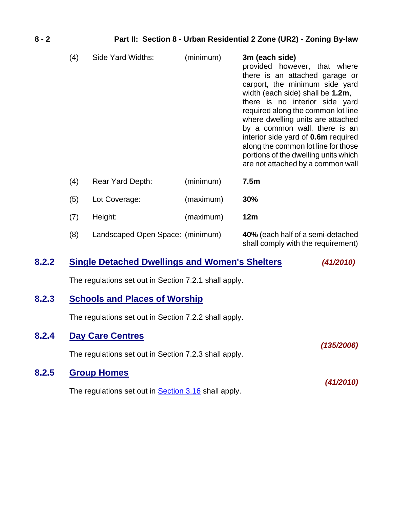| (4) | Side Yard Widths:                | (minimum) | 3m (each side)<br>provided however, that where<br>there is an attached garage or<br>carport, the minimum side yard<br>width (each side) shall be 1.2m,<br>there is no interior side yard<br>required along the common lot line<br>where dwelling units are attached<br>by a common wall, there is an<br>interior side yard of <b>0.6m</b> required<br>along the common lot line for those<br>portions of the dwelling units which<br>are not attached by a common wall |
|-----|----------------------------------|-----------|------------------------------------------------------------------------------------------------------------------------------------------------------------------------------------------------------------------------------------------------------------------------------------------------------------------------------------------------------------------------------------------------------------------------------------------------------------------------|
| (4) | <b>Rear Yard Depth:</b>          | (minimum) | 7.5m                                                                                                                                                                                                                                                                                                                                                                                                                                                                   |
| (5) | Lot Coverage:                    | (maximum) | <b>30%</b>                                                                                                                                                                                                                                                                                                                                                                                                                                                             |
| (7) | Height:                          | (maximum) | 12m                                                                                                                                                                                                                                                                                                                                                                                                                                                                    |
| (8) | Landscaped Open Space: (minimum) |           | 40% (each half of a semi-detached                                                                                                                                                                                                                                                                                                                                                                                                                                      |

shall comply with the requirement)

### **8.2.2 Single Detached Dwellings and Women's Shelters** *(41/2010)*

The regulations set out in Section 7.2.1 shall apply.

### **8.2.3 Schools and Places of Worship**

The regulations set out in Section 7.2.2 shall apply.

| 8.2.4 | <b>Day Care Centres</b>                                     |            |
|-------|-------------------------------------------------------------|------------|
|       | The regulations set out in Section 7.2.3 shall apply.       | (135/2006) |
| 8.2.5 | <b>Group Homes</b>                                          |            |
|       | The regulations set out in <b>Section 3.16</b> shall apply. | (41/2010)  |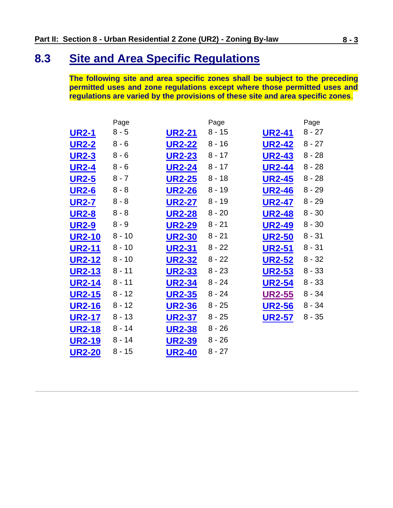# <span id="page-2-0"></span>**8.3 Site and Area Specific Regulations**

**The following site and area specific zones shall be subject to the preceding permitted uses and zone regulations except where those permitted uses and regulations are varied by the provisions of these site and area specific zones**.

|               | Page     |               | Page     |               | Page     |
|---------------|----------|---------------|----------|---------------|----------|
| <b>UR2-1</b>  | $8 - 5$  | <b>UR2-21</b> | $8 - 15$ | <b>UR2-41</b> | $8 - 27$ |
| <b>UR2-2</b>  | $8 - 6$  | <b>UR2-22</b> | $8 - 16$ | <b>UR2-42</b> | $8 - 27$ |
| <b>UR2-3</b>  | $8 - 6$  | <b>UR2-23</b> | $8 - 17$ | <b>UR2-43</b> | $8 - 28$ |
| <b>UR2-4</b>  | $8 - 6$  | <b>UR2-24</b> | $8 - 17$ | <b>UR2-44</b> | $8 - 28$ |
| <b>UR2-5</b>  | $8 - 7$  | <b>UR2-25</b> | $8 - 18$ | <b>UR2-45</b> | $8 - 28$ |
| <b>UR2-6</b>  | $8 - 8$  | <b>UR2-26</b> | $8 - 19$ | <b>UR2-46</b> | $8 - 29$ |
| <b>UR2-7</b>  | $8 - 8$  | <b>UR2-27</b> | $8 - 19$ | <b>UR2-47</b> | $8 - 29$ |
| <b>UR2-8</b>  | $8 - 8$  | <b>UR2-28</b> | $8 - 20$ | <b>UR2-48</b> | $8 - 30$ |
| <b>UR2-9</b>  | $8 - 9$  | <b>UR2-29</b> | $8 - 21$ | <b>UR2-49</b> | $8 - 30$ |
| <b>UR2-10</b> | $8 - 10$ | <b>UR2-30</b> | $8 - 21$ | <b>UR2-50</b> | $8 - 31$ |
| <b>UR2-11</b> | $8 - 10$ | <b>UR2-31</b> | $8 - 22$ | <b>UR2-51</b> | $8 - 31$ |
| <b>UR2-12</b> | $8 - 10$ | <b>UR2-32</b> | $8 - 22$ | <b>UR2-52</b> | $8 - 32$ |
| <b>UR2-13</b> | $8 - 11$ | <b>UR2-33</b> | $8 - 23$ | <b>UR2-53</b> | $8 - 33$ |
| <b>UR2-14</b> | 8 - 11   | <b>UR2-34</b> | $8 - 24$ | <b>UR2-54</b> | $8 - 33$ |
| <b>UR2-15</b> | $8 - 12$ | <b>UR2-35</b> | $8 - 24$ | <b>UR2-55</b> | $8 - 34$ |
| <b>UR2-16</b> | $8 - 12$ | <b>UR2-36</b> | $8 - 25$ | <b>UR2-56</b> | $8 - 34$ |
| <b>UR2-17</b> | $8 - 13$ | <b>UR2-37</b> | $8 - 25$ | <b>UR2-57</b> | $8 - 35$ |
| <b>UR2-18</b> | $8 - 14$ | <b>UR2-38</b> | $8 - 26$ |               |          |
| <b>UR2-19</b> | 8 - 14   | <b>UR2-39</b> | $8 - 26$ |               |          |
| <b>UR2-20</b> | $8 - 15$ | <b>UR2-40</b> | $8 - 27$ |               |          |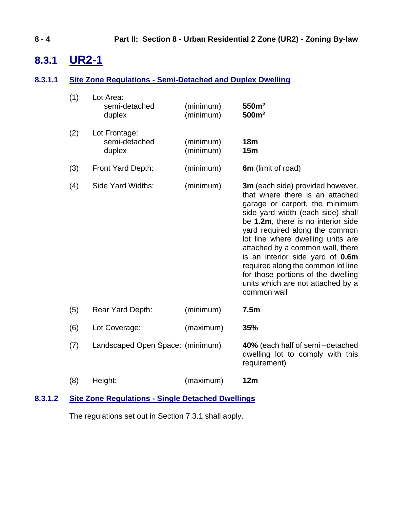# <span id="page-3-0"></span>**8.3.1 UR2-1**

### **8.3.1.1 Site Zone Regulations - Semi-Detached and Duplex Dwelling**

| (1) | Lot Area:<br>semi-detached<br>duplex     | (minimum)<br>(minimum) | 550m <sup>2</sup><br>500m <sup>2</sup>                                                                                                                                                                                                                                                                                                                                                                                                                          |
|-----|------------------------------------------|------------------------|-----------------------------------------------------------------------------------------------------------------------------------------------------------------------------------------------------------------------------------------------------------------------------------------------------------------------------------------------------------------------------------------------------------------------------------------------------------------|
| (2) | Lot Frontage:<br>semi-detached<br>duplex | (minimum)<br>(minimum) | 18 <sub>m</sub><br>15m                                                                                                                                                                                                                                                                                                                                                                                                                                          |
| (3) | Front Yard Depth:                        | (minimum)              | 6m (limit of road)                                                                                                                                                                                                                                                                                                                                                                                                                                              |
| (4) | Side Yard Widths:                        | (minimum)              | 3m (each side) provided however,<br>that where there is an attached<br>garage or carport, the minimum<br>side yard width (each side) shall<br>be 1.2m, there is no interior side<br>yard required along the common<br>lot line where dwelling units are<br>attached by a common wall, there<br>is an interior side yard of 0.6m<br>required along the common lot line<br>for those portions of the dwelling<br>units which are not attached by a<br>common wall |
| (5) | <b>Rear Yard Depth:</b>                  | (minimum)              | 7.5 <sub>m</sub>                                                                                                                                                                                                                                                                                                                                                                                                                                                |
| (6) | Lot Coverage:                            | (maximum)              | 35%                                                                                                                                                                                                                                                                                                                                                                                                                                                             |
| (7) | Landscaped Open Space: (minimum)         |                        | 40% (each half of semi-detached<br>dwelling lot to comply with this<br>requirement)                                                                                                                                                                                                                                                                                                                                                                             |
| (8) | Height:                                  | (maximum)              | 12m                                                                                                                                                                                                                                                                                                                                                                                                                                                             |
|     |                                          |                        |                                                                                                                                                                                                                                                                                                                                                                                                                                                                 |

### **8.3.1.2 Site Zone Regulations - Single Detached Dwellings**

The regulations set out in Section 7.3.1 shall apply.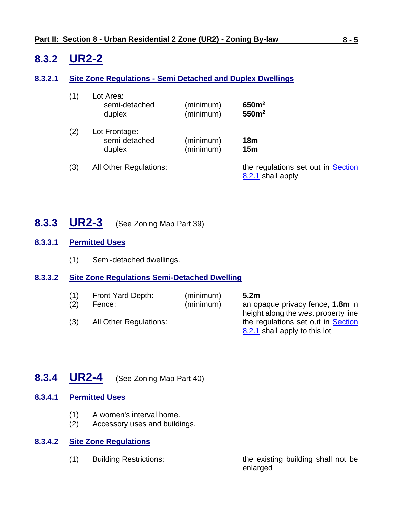# <span id="page-4-0"></span>**8.3.2 UR2-2**

### **8.3.2.1 Site Zone Regulations - Semi Detached and Duplex Dwellings**

| (1) | Lot Area:<br>semi-detached<br>duplex     | (minimum)<br>(minimum) | 650m <sup>2</sup><br>550m <sup>2</sup>                  |
|-----|------------------------------------------|------------------------|---------------------------------------------------------|
| (2) | Lot Frontage:<br>semi-detached<br>duplex | (minimum)<br>(minimum) | 18 <sub>m</sub><br>15 <sub>m</sub>                      |
| (3) | <b>All Other Regulations:</b>            |                        | the regulations set out in Section<br>8.2.1 shall apply |

<span id="page-4-1"></span>**8.3.3 UR2-3** (See Zoning Map Part 39)

### **8.3.3.1 Permitted Uses**

(1) Semi-detached dwellings.

### **8.3.3.2 Site Zone Regulations Semi-Detached Dwelling**

| (1)<br>(2)<br>(3) | Front Yard Depth:<br>Fence:<br>All Other Regulations: | (minimum)<br>(minimum) | 5.2 <sub>m</sub><br>an opaque privacy fence, 1.8m in<br>height along the west property line<br>the regulations set out in Section<br>8.2.1 shall apply to this lot |
|-------------------|-------------------------------------------------------|------------------------|--------------------------------------------------------------------------------------------------------------------------------------------------------------------|
|                   |                                                       |                        |                                                                                                                                                                    |
|                   |                                                       |                        |                                                                                                                                                                    |

# <span id="page-4-2"></span>**8.3.4 UR2-4** (See Zoning Map Part 40)

### **8.3.4.1 Permitted Uses**

- (1) A women's interval home.
- (2) Accessory uses and buildings.

### **8.3.4.2 Site Zone Regulations**

(1) Building Restrictions: the existing building shall not be enlarged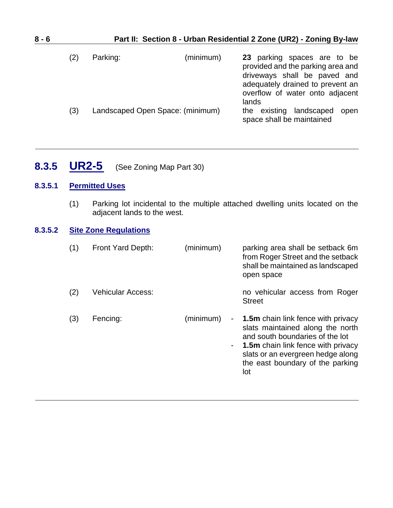| $8 - 6$ |     |                                  | Part II: Section 8 - Urban Residential 2 Zone (UR2) - Zoning By-law                                                                                                              |
|---------|-----|----------------------------------|----------------------------------------------------------------------------------------------------------------------------------------------------------------------------------|
|         | (2) | Parking:<br>(minimum)            | 23 parking spaces are to be<br>provided and the parking area and<br>driveways shall be paved and<br>adequately drained to prevent an<br>overflow of water onto adjacent<br>lands |
|         | (3) | Landscaped Open Space: (minimum) | landscaped<br>the existing<br>open<br>space shall be maintained                                                                                                                  |

<span id="page-5-0"></span>**8.3.5 UR2-5** (See Zoning Map Part 30)

### **8.3.5.1 Permitted Uses**

(1) Parking lot incidental to the multiple attached dwelling units located on the adjacent lands to the west.

### **8.3.5.2 Site Zone Regulations**

| (1) | Front Yard Depth:        | (minimum)            | parking area shall be setback 6m<br>from Roger Street and the setback<br>shall be maintained as landscaped<br>open space                                                                                                                      |
|-----|--------------------------|----------------------|-----------------------------------------------------------------------------------------------------------------------------------------------------------------------------------------------------------------------------------------------|
| (2) | <b>Vehicular Access:</b> |                      | no vehicular access from Roger<br><b>Street</b>                                                                                                                                                                                               |
| (3) | Fencing:                 | (minimum)<br>۰.<br>٠ | <b>1.5m</b> chain link fence with privacy<br>slats maintained along the north<br>and south boundaries of the lot<br><b>1.5m</b> chain link fence with privacy<br>slats or an evergreen hedge along<br>the east boundary of the parking<br>lot |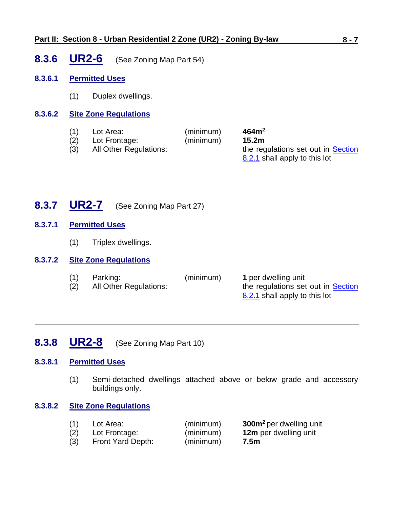### **Part II: Section 8 - Urban Residential 2 Zone (UR2) - Zoning By-law 8 - 7**

<span id="page-6-0"></span>**8.3.6 UR2-6** (See Zoning Map Part 54)

### **8.3.6.1 Permitted Uses**

(1) Duplex dwellings.

### **8.3.6.2 Site Zone Regulations**

| (1) | Lot Area:              | (minimum) | 464m <sup>2</sup>                                                   |
|-----|------------------------|-----------|---------------------------------------------------------------------|
| (2) | Lot Frontage:          | (minimum) | 15.2 <sub>m</sub>                                                   |
| (3) | All Other Regulations: |           | the regulations set out in Section<br>8.2.1 shall apply to this lot |

<span id="page-6-1"></span>**8.3.7 UR2-7** (See Zoning Map Part 27)

### **8.3.7.1 Permitted Uses**

(1) Triplex dwellings.

### **8.3.7.2 Site Zone Regulations**

| (1) | Parking:               | (minimum) | 1 per dwelling unit                |
|-----|------------------------|-----------|------------------------------------|
| (2) | All Other Regulations: |           | the regulations set out in Section |
|     |                        |           | 8.2.1 shall apply to this lot      |

### <span id="page-6-2"></span>**8.3.8 UR2-8** (See Zoning Map Part 10)

### **8.3.8.1 Permitted Uses**

(1) Semi-detached dwellings attached above or below grade and accessory buildings only.

### **8.3.8.2 Site Zone Regulations**

| (1) | Lot Area:         | (minimum) | 300m <sup>2</sup> per dwelling unit |
|-----|-------------------|-----------|-------------------------------------|
| (2) | Lot Frontage:     | (minimum) | 12m per dwelling unit               |
| (3) | Front Yard Depth: | (minimum) | 7.5m                                |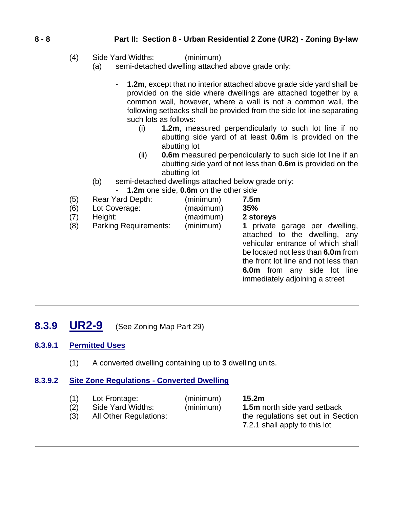### **8 - 8 Part II: Section 8 - Urban Residential 2 Zone (UR2) - Zoning By-law**

- (4) Side Yard Widths: (minimum)
	- (a) semi-detached dwelling attached above grade only:
		- **1.2m**, except that no interior attached above grade side yard shall be provided on the side where dwellings are attached together by a common wall, however, where a wall is not a common wall, the following setbacks shall be provided from the side lot line separating such lots as follows:
			- (i) **1.2m**, measured perpendicularly to such lot line if no abutting side yard of at least **0.6m** is provided on the abutting lot
			- (ii) **0.6m** measured perpendicularly to such side lot line if an abutting side yard of not less than **0.6m** is provided on the abutting lot
	- (b) semi-detached dwellings attached below grade only: - **1.2m** one side, **0.6m** on the other side
- (5) Rear Yard Depth: (minimum) **7.5m**
- (6) Lot Coverage: (maximum) **35%**
- (7) Height: (maximum) **2 storeys**
	- (8) Parking Requirements: (minimum) **1** private garage per dwelling,
		- attached to the dwelling, any vehicular entrance of which shall be located not less than **6.0m** from the front lot line and not less than **6.0m** from any side lot line immediately adjoining a street

<span id="page-7-0"></span>**8.3.9 UR2-9** (See Zoning Map Part 29)

### **8.3.9.1 Permitted Uses**

(1) A converted dwelling containing up to **3** dwelling units.

### **8.3.9.2 Site Zone Regulations - Converted Dwelling**

- (1) Lot Frontage: (minimum) **15.2m**
- 
- 

(2) Side Yard Widths: (minimum) **1.5m** north side yard setback (3) All Other Regulations: the regulations set out in Section 7.2.1 shall apply to this lot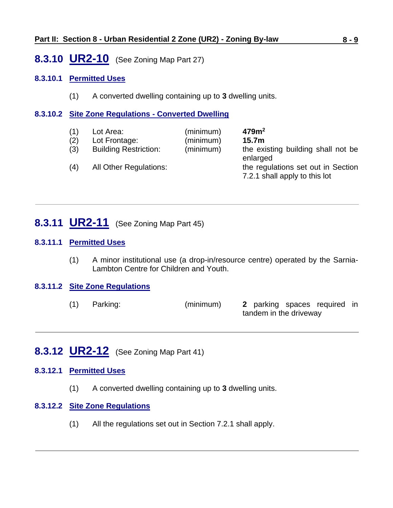### <span id="page-8-0"></span>**8.3.10 UR2-10** (See Zoning Map Part 27)

### **8.3.10.1 Permitted Uses**

(1) A converted dwelling containing up to **3** dwelling units.

### **8.3.10.2 Site Zone Regulations - Converted Dwelling**

| (1) | Lot Area:                    | (minimum) | 479 <sup>m²</sup>                                                               |
|-----|------------------------------|-----------|---------------------------------------------------------------------------------|
| (2) | Lot Frontage:                | (minimum) | 15.7 <sub>m</sub>                                                               |
| (3) | <b>Building Restriction:</b> | (minimum) | the existing building shall not be                                              |
| (4) | All Other Regulations:       |           | enlarged<br>the regulations set out in Section<br>7.2.1 shall apply to this lot |

### <span id="page-8-1"></span>**8.3.11 UR2-11** (See Zoning Map Part 45)

### **8.3.11.1 Permitted Uses**

(1) A minor institutional use (a drop-in/resource centre) operated by the Sarnia-Lambton Centre for Children and Youth.

#### **8.3.11.2 Site Zone Regulations**

(1) Parking: (minimum) **2** parking spaces required in tandem in the driveway

# <span id="page-8-2"></span>**8.3.12 UR2-12** (See Zoning Map Part 41)

### **8.3.12.1 Permitted Uses**

(1) A converted dwelling containing up to **3** dwelling units.

#### **8.3.12.2 Site Zone Regulations**

(1) All the regulations set out in Section 7.2.1 shall apply.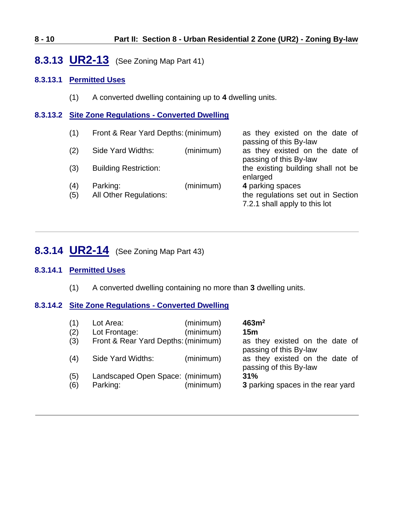### **8 - 10 Part II: Section 8 - Urban Residential 2 Zone (UR2) - Zoning By-law**

### <span id="page-9-0"></span>**8.3.13 UR2-13** (See Zoning Map Part 41)

### **8.3.13.1 Permitted Uses**

(1) A converted dwelling containing up to **4** dwelling units.

### **8.3.13.2 Site Zone Regulations - Converted Dwelling**

| (1)        | Front & Rear Yard Depths: (minimum)       |           | as they existed on the date of<br>passing of this By-law                                |  |
|------------|-------------------------------------------|-----------|-----------------------------------------------------------------------------------------|--|
| (2)        | Side Yard Widths:                         | (minimum) | as they existed on the date of<br>passing of this By-law                                |  |
| (3)        | <b>Building Restriction:</b>              |           | the existing building shall not be<br>enlarged                                          |  |
| (4)<br>(5) | Parking:<br><b>All Other Regulations:</b> | (minimum) | 4 parking spaces<br>the regulations set out in Section<br>7.2.1 shall apply to this lot |  |

# <span id="page-9-1"></span>**8.3.14 UR2-14** (See Zoning Map Part 43)

### **8.3.14.1 Permitted Uses**

(1) A converted dwelling containing no more than **3** dwelling units.

### **8.3.14.2 Site Zone Regulations - Converted Dwelling**

| (1) | Lot Area:                           | (minimum) | 463m <sup>2</sup>                                        |
|-----|-------------------------------------|-----------|----------------------------------------------------------|
| (2) | Lot Frontage:                       | (minimum) | 15 <sub>m</sub>                                          |
| (3) | Front & Rear Yard Depths: (minimum) |           | as they existed on the date of<br>passing of this By-law |
| (4) | Side Yard Widths:                   | (minimum) | as they existed on the date of<br>passing of this By-law |
| (5) | Landscaped Open Space: (minimum)    | (minimum) | 31%                                                      |
| (6) | Parking:                            |           | 3 parking spaces in the rear yard                        |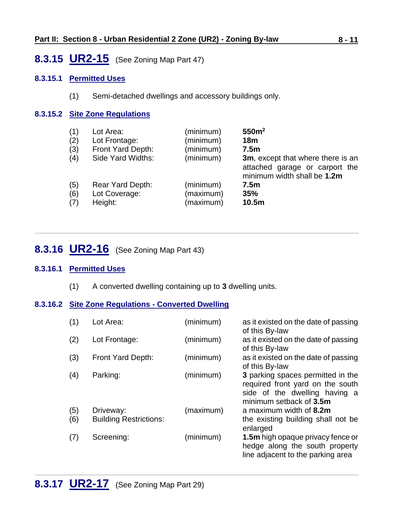### <span id="page-10-0"></span>**8.3.15 UR2-15** (See Zoning Map Part 47)

### **8.3.15.1 Permitted Uses**

(1) Semi-detached dwellings and accessory buildings only.

### **8.3.15.2 Site Zone Regulations**

| (1) | Lot Area:         | (minimum) | 550m <sup>2</sup>                                                                                  |
|-----|-------------------|-----------|----------------------------------------------------------------------------------------------------|
| (2) | Lot Frontage:     | (minimum) | 18 <sub>m</sub>                                                                                    |
| (3) | Front Yard Depth: | (minimum) | 7.5 <sub>m</sub>                                                                                   |
| (4) | Side Yard Widths: | (minimum) | 3m, except that where there is an<br>attached garage or carport the<br>minimum width shall be 1.2m |
| (5) | Rear Yard Depth:  | (minimum) | 7.5 <sub>m</sub>                                                                                   |
| (6) | Lot Coverage:     | (maximum) | 35%                                                                                                |
| (7) | Height:           | (maximum) | 10.5 <sub>m</sub>                                                                                  |

### <span id="page-10-1"></span>**8.3.16 UR2-16** (See Zoning Map Part 43)

### **8.3.16.1 Permitted Uses**

(1) A converted dwelling containing up to **3** dwelling units.

### **8.3.16.2 Site Zone Regulations - Converted Dwelling**

<span id="page-10-2"></span>

| (1)        | Lot Area:                                  | (minimum) | as it existed on the date of passing<br>of this By-law                                                                            |
|------------|--------------------------------------------|-----------|-----------------------------------------------------------------------------------------------------------------------------------|
| (2)        | Lot Frontage:                              | (minimum) | as it existed on the date of passing<br>of this By-law                                                                            |
| (3)        | Front Yard Depth:                          | (minimum) | as it existed on the date of passing<br>of this By-law                                                                            |
| (4)        | Parking:                                   | (minimum) | 3 parking spaces permitted in the<br>required front yard on the south<br>side of the dwelling having a<br>minimum setback of 3.5m |
| (5)<br>(6) | Driveway:<br><b>Building Restrictions:</b> | (maximum) | a maximum width of 8.2m<br>the existing building shall not be<br>enlarged                                                         |
| (7)        | Screening:                                 | (minimum) | 1.5m high opaque privacy fence or<br>hedge along the south property<br>line adjacent to the parking area                          |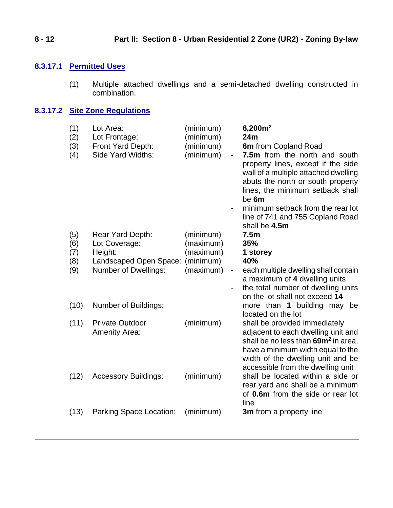### **8.3.17.1 Permitted Uses**

(1) Multiple attached dwellings and a semi-detached dwelling constructed in combination.

### **8.3.17.2 Site Zone Regulations**

| (1)<br>(2)<br>(3)<br>(4) | Lot Area:<br>Lot Frontage:<br>Front Yard Depth:<br>Side Yard Widths:   | (minimum)<br>(minimum)<br>(minimum)<br>(minimum)        | 6,200m <sup>2</sup><br>24m<br>6m from Copland Road<br>7.5m from the north and south<br>property lines, except if the side<br>wall of a multiple attached dwelling<br>abuts the north or south property<br>lines, the minimum setback shall<br>be 6m |
|--------------------------|------------------------------------------------------------------------|---------------------------------------------------------|-----------------------------------------------------------------------------------------------------------------------------------------------------------------------------------------------------------------------------------------------------|
|                          |                                                                        |                                                         | minimum setback from the rear lot<br>line of 741 and 755 Copland Road<br>shall be 4.5m                                                                                                                                                              |
| (5)<br>(6)<br>(7)        | Rear Yard Depth:<br>Lot Coverage:<br>Height:<br>Landscaped Open Space: | (minimum)<br>(maximum)<br>(maximum)<br>(minimum)        | 7.5 <sub>m</sub><br>35%<br>1 storey<br>40%                                                                                                                                                                                                          |
| (8)<br>(9)               | <b>Number of Dwellings:</b>                                            | (maximum)<br>$\blacksquare$<br>$\overline{\phantom{a}}$ | each multiple dwelling shall contain<br>a maximum of 4 dwelling units<br>the total number of dwelling units<br>on the lot shall not exceed 14                                                                                                       |
| (10)                     | Number of Buildings:                                                   |                                                         | more than 1 building may be<br>located on the lot                                                                                                                                                                                                   |
| (11)                     | <b>Private Outdoor</b><br><b>Amenity Area:</b>                         | (minimum)                                               | shall be provided immediately<br>adjacent to each dwelling unit and<br>shall be no less than 69m <sup>2</sup> in area,<br>have a minimum width equal to the<br>width of the dwelling unit and be<br>accessible from the dwelling unit               |
| (12)                     | <b>Accessory Buildings:</b>                                            | (minimum)                                               | shall be located within a side or<br>rear yard and shall be a minimum<br>of 0.6m from the side or rear lot<br>line                                                                                                                                  |
| (13)                     | Parking Space Location:                                                | (minimum)                                               | 3m from a property line                                                                                                                                                                                                                             |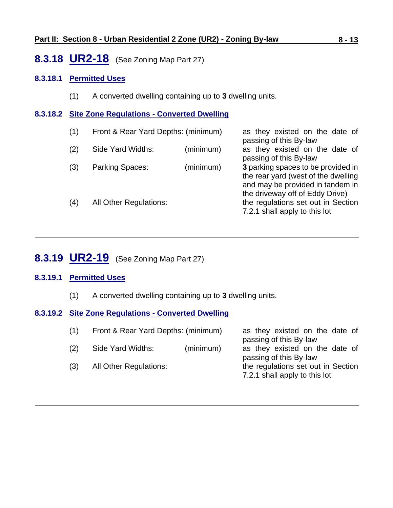### <span id="page-12-0"></span>**8.3.18 UR2-18** (See Zoning Map Part 27)

### **8.3.18.1 Permitted Uses**

(1) A converted dwelling containing up to **3** dwelling units.

### **8.3.18.2 Site Zone Regulations - Converted Dwelling**

(1) Front & Rear Yard Depths: (minimum) as they existed on the date of passing of this By-law (2) Side Yard Widths: (minimum) as they existed on the date of passing of this By-law (3) Parking Spaces: (minimum) **3** parking spaces to be provided in the rear yard (west of the dwelling and may be provided in tandem in the driveway off of Eddy Drive) (4) All Other Regulations: the regulations set out in Section 7.2.1 shall apply to this lot

## <span id="page-12-1"></span>**8.3.19 UR2-19** (See Zoning Map Part 27)

### **8.3.19.1 Permitted Uses**

(1) A converted dwelling containing up to **3** dwelling units.

### **8.3.19.2 Site Zone Regulations - Converted Dwelling**

| (1) | Front & Rear Yard Depths: (minimum) |           | as they existed on the date of<br>passing of this By-law            |
|-----|-------------------------------------|-----------|---------------------------------------------------------------------|
| (2) | Side Yard Widths:                   | (minimum) | as they existed on the date of<br>passing of this By-law            |
| (3) | All Other Regulations:              |           | the regulations set out in Section<br>7.2.1 shall apply to this lot |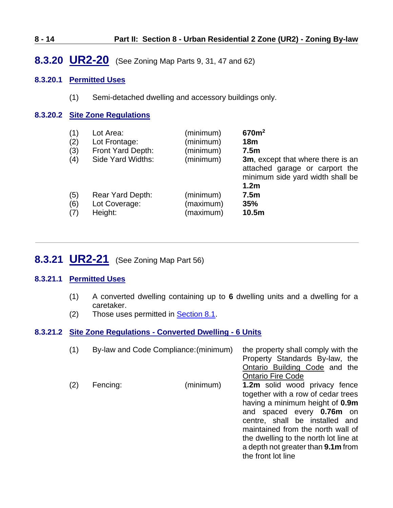### **8 - 14 Part II: Section 8 - Urban Residential 2 Zone (UR2) - Zoning By-law**

# <span id="page-13-1"></span>**8.3.20 UR2-20** (See Zoning Map Parts 9, 31, 47 and 62)

### **8.3.20.1 Permitted Uses**

(1) Semi-detached dwelling and accessory buildings only.

### **8.3.20.2 Site Zone Regulations**

| (1)               | Lot Area:                                    | (minimum)                           | 670m <sup>2</sup>                                                                                                           |
|-------------------|----------------------------------------------|-------------------------------------|-----------------------------------------------------------------------------------------------------------------------------|
| (2)               | Lot Frontage:                                | (minimum)                           | 18 <sub>m</sub>                                                                                                             |
| (3)               | Front Yard Depth:                            | (minimum)                           | 7.5 <sub>m</sub>                                                                                                            |
| (4)               | Side Yard Widths:                            | (minimum)                           | 3m, except that where there is an<br>attached garage or carport the<br>minimum side yard width shall be<br>1.2 <sub>m</sub> |
| (5)<br>(6)<br>(7) | Rear Yard Depth:<br>Lot Coverage:<br>Height: | (minimum)<br>(maximum)<br>(maximum) | 7.5 <sub>m</sub><br>35%<br>10.5 <sub>m</sub>                                                                                |

# <span id="page-13-0"></span>**8.3.21 UR2-21** (See Zoning Map Part 56)

### **8.3.21.1 Permitted Uses**

- (1) A converted dwelling containing up to **6** dwelling units and a dwelling for a caretaker.
- (2) Those uses permitted in [Section 8.1.](#page-0-0)

### **8.3.21.2 Site Zone Regulations - Converted Dwelling - 6 Units**

| (1) | By-law and Code Compliance: (minimum) |           | the property shall comply with the<br>Property Standards By-law, the                                                                                                                                                                                                                                                   |
|-----|---------------------------------------|-----------|------------------------------------------------------------------------------------------------------------------------------------------------------------------------------------------------------------------------------------------------------------------------------------------------------------------------|
|     |                                       |           | Ontario Building Code and the<br><b>Ontario Fire Code</b>                                                                                                                                                                                                                                                              |
| (2) | Fencing:                              | (minimum) | 1.2m solid wood privacy fence<br>together with a row of cedar trees<br>having a minimum height of 0.9m<br>and spaced every <b>0.76m</b> on<br>centre, shall be installed and<br>maintained from the north wall of<br>the dwelling to the north lot line at<br>a depth not greater than 9.1m from<br>the front lot line |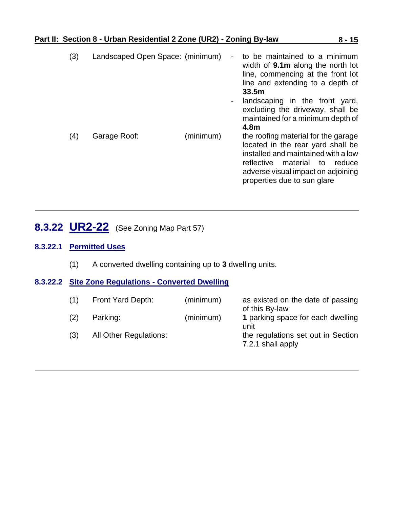| (3) | Landscaped Open Space: (minimum) |           | to be maintained to a minimum<br>width of <b>9.1m</b> along the north lot<br>line, commencing at the front lot<br>line and extending to a depth of<br>33.5 <sub>m</sub><br>landscaping in the front yard,<br>excluding the driveway, shall be<br>maintained for a minimum depth of<br>4.8m |
|-----|----------------------------------|-----------|--------------------------------------------------------------------------------------------------------------------------------------------------------------------------------------------------------------------------------------------------------------------------------------------|
| (4) | Garage Roof:                     | (minimum) | the roofing material for the garage<br>located in the rear yard shall be<br>installed and maintained with a low<br>reflective<br>material to reduce<br>adverse visual impact on adjoining<br>properties due to sun glare                                                                   |

# <span id="page-14-0"></span>**8.3.22 UR2-22** (See Zoning Map Part 57)

### **8.3.22.1 Permitted Uses**

(1) A converted dwelling containing up to **3** dwelling units.

### **8.3.22.2 Site Zone Regulations - Converted Dwelling**

| (1) | Front Yard Depth:             | (minimum) | as existed on the date of passing<br>of this By-law     |
|-----|-------------------------------|-----------|---------------------------------------------------------|
| (2) | Parking:                      | (minimum) | 1 parking space for each dwelling<br>unit               |
| (3) | <b>All Other Regulations:</b> |           | the regulations set out in Section<br>7.2.1 shall apply |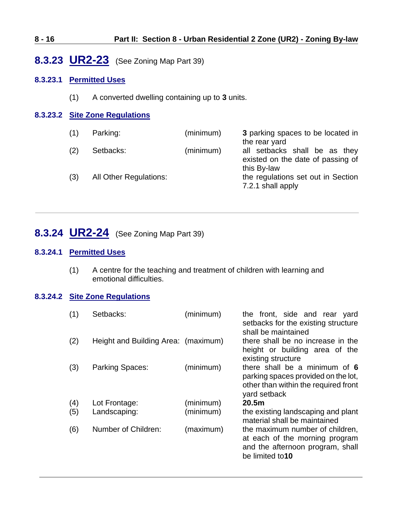### **8 - 16 Part II: Section 8 - Urban Residential 2 Zone (UR2) - Zoning By-law**

# <span id="page-15-0"></span>**8.3.23 UR2-23** (See Zoning Map Part 39)

### **8.3.23.1 Permitted Uses**

(1) A converted dwelling containing up to **3** units.

### **8.3.23.2 Site Zone Regulations**

| (1) | Parking:                      | (minimum) | 3 parking spaces to be located in<br>the rear yard                                |
|-----|-------------------------------|-----------|-----------------------------------------------------------------------------------|
| (2) | Setbacks:                     | (minimum) | all setbacks shall be as they<br>existed on the date of passing of<br>this By-law |
| (3) | <b>All Other Regulations:</b> |           | the regulations set out in Section<br>7.2.1 shall apply                           |

# <span id="page-15-1"></span>**8.3.24 UR2-24** (See Zoning Map Part 39)

### **8.3.24.1 Permitted Uses**

(1) A centre for the teaching and treatment of children with learning and emotional difficulties.

### **8.3.24.2 Site Zone Regulations**

| (1) | Setbacks:                           | (minimum) | the front, side and rear yard<br>setbacks for the existing structure<br>shall be maintained                                  |
|-----|-------------------------------------|-----------|------------------------------------------------------------------------------------------------------------------------------|
| (2) | Height and Building Area: (maximum) |           | there shall be no increase in the<br>height or building area of the<br>existing structure                                    |
| (3) | Parking Spaces:                     | (minimum) | there shall be a minimum of 6<br>parking spaces provided on the lot,<br>other than within the required front<br>yard setback |
| (4) | Lot Frontage:                       | (minimum) | 20.5 <sub>m</sub>                                                                                                            |
| (5) | Landscaping:                        | (minimum) | the existing landscaping and plant<br>material shall be maintained                                                           |
| (6) | Number of Children:                 | (maximum) | the maximum number of children,<br>at each of the morning program<br>and the afternoon program, shall<br>be limited to10     |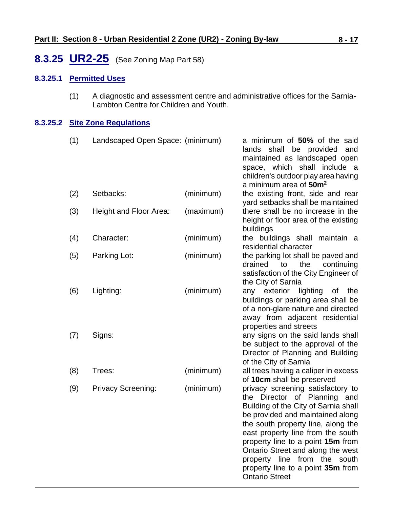# <span id="page-16-0"></span>**8.3.25 UR2-25** (See Zoning Map Part 58)

### **8.3.25.1 Permitted Uses**

(1) A diagnostic and assessment centre and administrative offices for the Sarnia-Lambton Centre for Children and Youth.

### **8.3.25.2 Site Zone Regulations**

| (1) | Landscaped Open Space: (minimum) |           | a minimum of 50% of the said<br>shall be provided<br>lands<br>and<br>maintained as landscaped open<br>space, which shall include a<br>children's outdoor play area having                                                                                                                                                                                                                              |
|-----|----------------------------------|-----------|--------------------------------------------------------------------------------------------------------------------------------------------------------------------------------------------------------------------------------------------------------------------------------------------------------------------------------------------------------------------------------------------------------|
| (2) | Setbacks:                        | (minimum) | a minimum area of 50m <sup>2</sup><br>the existing front, side and rear<br>yard setbacks shall be maintained                                                                                                                                                                                                                                                                                           |
| (3) | Height and Floor Area:           | (maximum) | there shall be no increase in the<br>height or floor area of the existing<br>buildings                                                                                                                                                                                                                                                                                                                 |
| (4) | Character:                       | (minimum) | the buildings shall maintain a<br>residential character                                                                                                                                                                                                                                                                                                                                                |
| (5) | Parking Lot:                     | (minimum) | the parking lot shall be paved and<br>drained<br>to<br>the<br>continuing<br>satisfaction of the City Engineer of<br>the City of Sarnia                                                                                                                                                                                                                                                                 |
| (6) | Lighting:                        | (minimum) | exterior<br>lighting<br>any<br>0f<br>the<br>buildings or parking area shall be<br>of a non-glare nature and directed<br>away from adjacent residential<br>properties and streets                                                                                                                                                                                                                       |
| (7) | Signs:                           |           | any signs on the said lands shall<br>be subject to the approval of the<br>Director of Planning and Building<br>of the City of Sarnia                                                                                                                                                                                                                                                                   |
| (8) | Trees:                           | (minimum) | all trees having a caliper in excess<br>of 10cm shall be preserved                                                                                                                                                                                                                                                                                                                                     |
| (9) | <b>Privacy Screening:</b>        | (minimum) | privacy screening satisfactory to<br>Director of Planning<br>the<br>and<br>Building of the City of Sarnia shall<br>be provided and maintained along<br>the south property line, along the<br>east property line from the south<br>property line to a point 15m from<br>Ontario Street and along the west<br>property line from the south<br>property line to a point 35m from<br><b>Ontario Street</b> |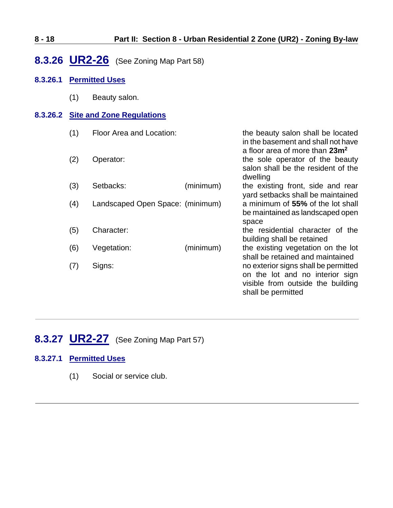### **8 - 18 Part II: Section 8 - Urban Residential 2 Zone (UR2) - Zoning By-law**

# <span id="page-17-0"></span>**8.3.26 UR2-26** (See Zoning Map Part 58)

### **8.3.26.1 Permitted Uses**

(1) Beauty salon.

### **8.3.26.2 Site and Zone Regulations**

| (1) | Floor Area and Location:         |           | the beauty salon shall be located<br>in the basement and shall not have<br>a floor area of more than 23m <sup>2</sup>              |
|-----|----------------------------------|-----------|------------------------------------------------------------------------------------------------------------------------------------|
| (2) | Operator:                        |           | the sole operator of the beauty<br>salon shall be the resident of the<br>dwelling                                                  |
| (3) | Setbacks:                        | (minimum) | the existing front, side and rear<br>yard setbacks shall be maintained                                                             |
| (4) | Landscaped Open Space: (minimum) |           | a minimum of 55% of the lot shall<br>be maintained as landscaped open<br>space                                                     |
| (5) | Character:                       |           | the residential character of the<br>building shall be retained                                                                     |
| (6) | Vegetation:                      | (minimum) | the existing vegetation on the lot<br>shall be retained and maintained                                                             |
| (7) | Signs:                           |           | no exterior signs shall be permitted<br>on the lot and no interior sign<br>visible from outside the building<br>shall be permitted |

# <span id="page-17-1"></span>**8.3.27 UR2-27** (See Zoning Map Part 57)

### **8.3.27.1 Permitted Uses**

(1) Social or service club.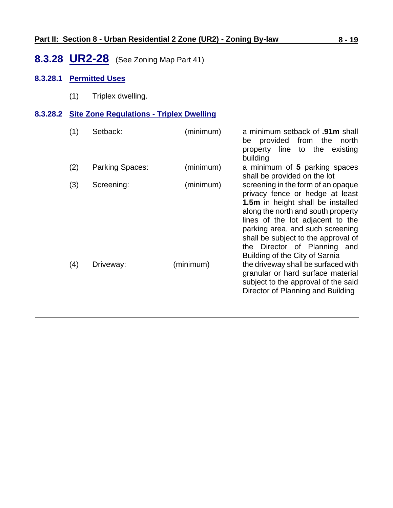# <span id="page-18-0"></span>**8.3.28 UR2-28** (See Zoning Map Part 41)

### **8.3.28.1 Permitted Uses**

(1) Triplex dwelling.

### **8.3.28.2 Site Zone Regulations - Triplex Dwelling**

| (1) | Setback:        | (minimum) | a minimum setback of .91m shall<br>be provided from the<br>north<br>property line to the<br>existing<br>building                                                                                                                                                                                                                  |
|-----|-----------------|-----------|-----------------------------------------------------------------------------------------------------------------------------------------------------------------------------------------------------------------------------------------------------------------------------------------------------------------------------------|
| (2) | Parking Spaces: | (minimum) | a minimum of 5 parking spaces<br>shall be provided on the lot                                                                                                                                                                                                                                                                     |
| (3) | Screening:      | (minimum) | screening in the form of an opaque<br>privacy fence or hedge at least<br>1.5m in height shall be installed<br>along the north and south property<br>lines of the lot adjacent to the<br>parking area, and such screening<br>shall be subject to the approval of<br>the Director of Planning and<br>Building of the City of Sarnia |
| (4) | Driveway:       | (minimum) | the driveway shall be surfaced with<br>granular or hard surface material<br>subject to the approval of the said<br>Director of Planning and Building                                                                                                                                                                              |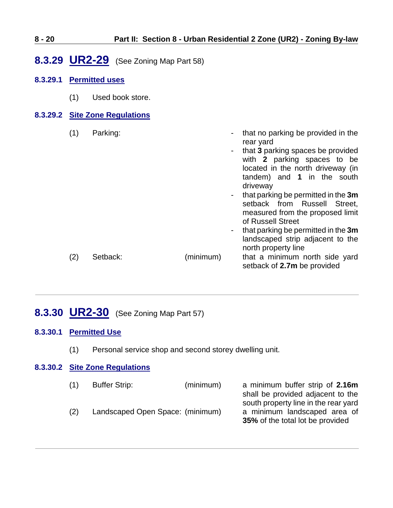<span id="page-19-0"></span>

| $8 - 20$ |     |                       |                                |                                        |                                            | Part II: Section 8 - Urban Residential 2 Zone (UR2) - Zoning By-law                                                                                                                                                                                                                                                                                                                                                                     |
|----------|-----|-----------------------|--------------------------------|----------------------------------------|--------------------------------------------|-----------------------------------------------------------------------------------------------------------------------------------------------------------------------------------------------------------------------------------------------------------------------------------------------------------------------------------------------------------------------------------------------------------------------------------------|
|          |     |                       |                                | 8.3.29 UR2-29 (See Zoning Map Part 58) |                                            |                                                                                                                                                                                                                                                                                                                                                                                                                                         |
| 8.3.29.1 |     | <b>Permitted uses</b> |                                |                                        |                                            |                                                                                                                                                                                                                                                                                                                                                                                                                                         |
|          | (1) |                       | Used book store.               |                                        |                                            |                                                                                                                                                                                                                                                                                                                                                                                                                                         |
|          |     |                       | 8.3.29.2 Site Zone Regulations |                                        |                                            |                                                                                                                                                                                                                                                                                                                                                                                                                                         |
|          | (1) | Parking:              |                                |                                        | $\overline{\phantom{a}}$<br>$\blacksquare$ | that no parking be provided in the<br>rear yard<br>that 3 parking spaces be provided<br>with 2 parking spaces to be<br>located in the north driveway (in<br>tandem) and 1 in the south<br>driveway<br>that parking be permitted in the 3m<br>setback from Russell<br>Street,<br>measured from the proposed limit<br>of Russell Street<br>that parking be permitted in the 3m<br>landscaped strip adjacent to the<br>north property line |
|          | (2) | Setback:              |                                | (minimum)                              |                                            | that a minimum north side yard<br>setback of 2.7m be provided                                                                                                                                                                                                                                                                                                                                                                           |

# <span id="page-19-1"></span>**8.3.30 UR2-30** (See Zoning Map Part 57)

### **8.3.30.1 Permitted Use**

(1) Personal service shop and second storey dwelling unit.

### **8.3.30.2 Site Zone Regulations**

| (1) | <b>Buffer Strip:</b>             | (minimum) | a minimum buffer strip of 2.16m         |
|-----|----------------------------------|-----------|-----------------------------------------|
|     |                                  |           | shall be provided adjacent to the       |
|     |                                  |           | south property line in the rear yard    |
| (2) | Landscaped Open Space: (minimum) |           | a minimum landscaped area of            |
|     |                                  |           | <b>35%</b> of the total lot be provided |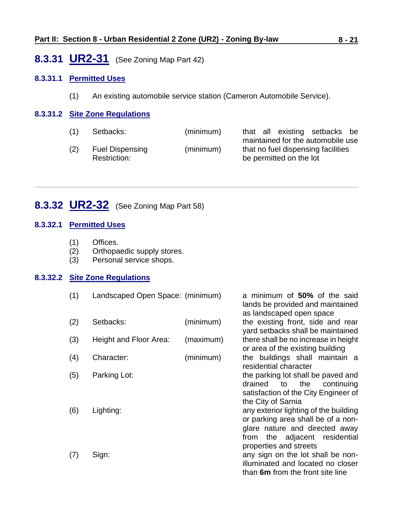### <span id="page-20-0"></span>**8.3.31 UR2-31** (See Zoning Map Part 42)

### **8.3.31.1 Permitted Uses**

(1) An existing automobile service station (Cameron Automobile Service).

### **8.3.31.2 Site Zone Regulations**

| maintained for the automobile use  |                               |
|------------------------------------|-------------------------------|
| that no fuel dispensing facilities |                               |
| be permitted on the lot            |                               |
|                                    | that all existing setbacks be |

# <span id="page-20-1"></span>**8.3.32 UR2-32** (See Zoning Map Part 58)

### **8.3.32.1 Permitted Uses**

- (1) Offices.
- (2) Orthopaedic supply stores.
- (3) Personal service shops.

#### **8.3.32.2 Site Zone Regulations**

- (1) Landscaped Open Space: (minimum) a minimum of **50%** of the said
- (2) Setbacks: (minimum) the existing front, side and rear
- (3) Height and Floor Area: (maximum) there shall be no increase in height
- (4) Character: (minimum) the buildings shall maintain a
- 
- 

lands be provided and maintained as landscaped open space yard setbacks shall be maintained or area of the existing building residential character (5) Parking Lot: the parking lot shall be paved and drained to the continuing satisfaction of the City Engineer of the City of Sarnia (6) Lighting: any exterior lighting of the building or parking area shall be of a nonglare nature and directed away from the adjacent residential properties and streets

(7) Sign: any sign on the lot shall be nonilluminated and located no closer than **6m** from the front site line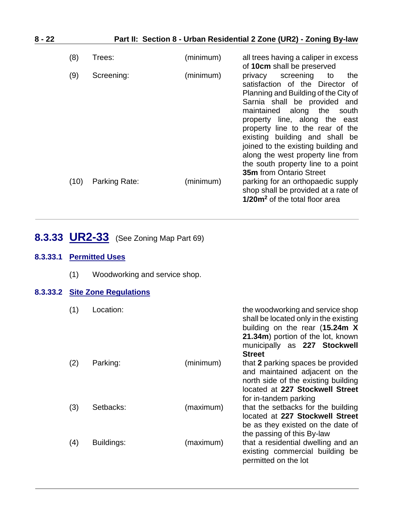| $8 - 22$ |      |               |           | Part II: Section 8 - Urban Residential 2 Zone (UR2) - Zoning By-law                                                                                                                                                                                                                                                                                                                                                                      |
|----------|------|---------------|-----------|------------------------------------------------------------------------------------------------------------------------------------------------------------------------------------------------------------------------------------------------------------------------------------------------------------------------------------------------------------------------------------------------------------------------------------------|
|          | (8)  | Trees:        | (minimum) | all trees having a caliper in excess<br>of 10cm shall be preserved                                                                                                                                                                                                                                                                                                                                                                       |
|          | (9)  | Screening:    | (minimum) | screening<br>privacy<br>the<br>to<br>satisfaction of the Director of<br>Planning and Building of the City of<br>Sarnia shall be provided and<br>maintained along the<br>south<br>property line, along the east<br>property line to the rear of the<br>existing building and shall be<br>joined to the existing building and<br>along the west property line from<br>the south property line to a point<br><b>35m</b> from Ontario Street |
|          | (10) | Parking Rate: | (minimum) | parking for an orthopaedic supply<br>shop shall be provided at a rate of<br>1/20m <sup>2</sup> of the total floor area                                                                                                                                                                                                                                                                                                                   |

# <span id="page-21-0"></span>**8.3.33 UR2-33** (See Zoning Map Part 69)

### **8.3.33.1 Permitted Uses**

(1) Woodworking and service shop.

### **8.3.33.2 Site Zone Regulations**

| (1) | Location:  |           | the woodworking and service shop<br>shall be located only in the existing<br>building on the rear (15.24m X<br>21.34m) portion of the lot, known<br>municipally as 227 Stockwell<br><b>Street</b> |
|-----|------------|-----------|---------------------------------------------------------------------------------------------------------------------------------------------------------------------------------------------------|
| (2) | Parking:   | (minimum) | that 2 parking spaces be provided<br>and maintained adjacent on the<br>north side of the existing building<br>located at 227 Stockwell Street<br>for in-tandem parking                            |
| (3) | Setbacks:  | (maximum) | that the setbacks for the building<br>located at 227 Stockwell Street<br>be as they existed on the date of<br>the passing of this By-law                                                          |
| (4) | Buildings: | (maximum) | that a residential dwelling and an<br>existing commercial building be<br>permitted on the lot                                                                                                     |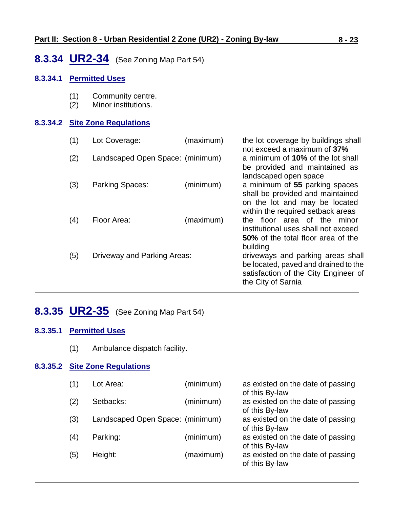# <span id="page-22-0"></span>**8.3.34 UR2-34** (See Zoning Map Part 54)

### **8.3.34.1 Permitted Uses**

- (1) Community centre.
- (2) Minor institutions.

### **8.3.34.2 Site Zone Regulations**

| (1) | Lot Coverage:                    | (maximum) | the lot coverage by buildings shall<br>not exceed a maximum of 37%                                                                       |
|-----|----------------------------------|-----------|------------------------------------------------------------------------------------------------------------------------------------------|
| (2) | Landscaped Open Space: (minimum) |           | a minimum of 10% of the lot shall<br>be provided and maintained as<br>landscaped open space                                              |
| (3) | Parking Spaces:                  | (minimum) | a minimum of 55 parking spaces<br>shall be provided and maintained<br>on the lot and may be located<br>within the required setback areas |
| (4) | Floor Area:                      | (maximum) | floor area of the minor<br>the<br>institutional uses shall not exceed<br>50% of the total floor area of the<br>building                  |
| (5) | Driveway and Parking Areas:      |           | driveways and parking areas shall<br>be located, paved and drained to the<br>satisfaction of the City Engineer of<br>the City of Sarnia  |

# <span id="page-22-1"></span>**8.3.35 UR2-35** (See Zoning Map Part 54)

### **8.3.35.1 Permitted Uses**

(1) Ambulance dispatch facility.

### **8.3.35.2 Site Zone Regulations**

| (1) | Lot Area:                        | (minimum) | as existed on the date of passing<br>of this By-law |
|-----|----------------------------------|-----------|-----------------------------------------------------|
| (2) | Setbacks:                        | (minimum) | as existed on the date of passing<br>of this By-law |
| (3) | Landscaped Open Space: (minimum) |           | as existed on the date of passing<br>of this By-law |
| (4) | Parking:                         | (minimum) | as existed on the date of passing<br>of this By-law |
| (5) | Height:                          | (maximum) | as existed on the date of passing<br>of this By-law |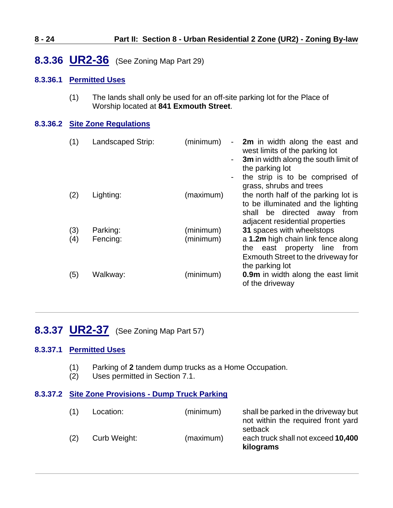## <span id="page-23-0"></span>**8.3.36 UR2-36** (See Zoning Map Part 29)

### **8.3.36.1 Permitted Uses**

(1) The lands shall only be used for an off-site parking lot for the Place of Worship located at **841 Exmouth Street**.

### **8.3.36.2 Site Zone Regulations**

| (1)        | Landscaped Strip:    | (minimum)<br>$\sim 100$ | 2m in width along the east and<br>west limits of the parking lot<br>3m in width along the south limit of<br>the parking lot<br>the strip is to be comprised of<br>grass, shrubs and trees |
|------------|----------------------|-------------------------|-------------------------------------------------------------------------------------------------------------------------------------------------------------------------------------------|
| (2)        | Lighting:            | (maximum)               | the north half of the parking lot is<br>to be illuminated and the lighting<br>be directed away from<br>shall<br>adjacent residential properties                                           |
| (3)<br>(4) | Parking:<br>Fencing: | (minimum)<br>(minimum)  | 31 spaces with wheelstops<br>a 1.2m high chain link fence along<br>east property line from<br>the<br>Exmouth Street to the driveway for<br>the parking lot                                |
| (5)        | Walkway:             | (minimum)               | <b>0.9m</b> in width along the east limit<br>of the driveway                                                                                                                              |

# <span id="page-23-1"></span>**8.3.37 UR2-37** (See Zoning Map Part 57)

### **8.3.37.1 Permitted Uses**

- (1) Parking of **2** tandem dump trucks as a Home Occupation.
- (2) Uses permitted in Section 7.1.

#### **8.3.37.2 Site Zone Provisions - Dump Truck Parking**

| (1) | Location:    | (minimum) | shall be parked in the driveway but<br>not within the required front yard<br>setback |
|-----|--------------|-----------|--------------------------------------------------------------------------------------|
| (2) | Curb Weight: | (maximum) | each truck shall not exceed 10,400<br>kilograms                                      |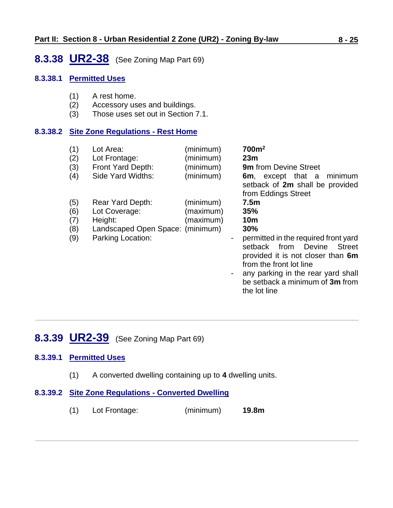### <span id="page-24-0"></span>**8.3.38 UR2-38** (See Zoning Map Part 69)

### **8.3.38.1 Permitted Uses**

- (1) A rest home.
- (2) Accessory uses and buildings.
- (3) Those uses set out in Section 7.1.

### **8.3.38.2 Site Zone Regulations - Rest Home**

| (1)<br>(2)<br>(3)<br>(4)        | Lot Area:<br>Lot Frontage:<br>Front Yard Depth:<br>Side Yard Widths:                                  | (minimum)<br>(minimum)<br>(minimum)<br>(minimum) | 700m <sup>2</sup><br>23m<br><b>9m</b> from Devine Street<br>6m, except that a minimum<br>setback of 2m shall be provided<br>from Eddings Street                                                                                                                                          |
|---------------------------------|-------------------------------------------------------------------------------------------------------|--------------------------------------------------|------------------------------------------------------------------------------------------------------------------------------------------------------------------------------------------------------------------------------------------------------------------------------------------|
| (5)<br>(6)<br>(7)<br>(8)<br>(9) | Rear Yard Depth:<br>Lot Coverage:<br>Height:<br>Landscaped Open Space: (minimum)<br>Parking Location: | (minimum)<br>(maximum)<br>(maximum)              | 7.5 <sub>m</sub><br>35%<br><b>10m</b><br>30%<br>permitted in the required front yard<br><b>Street</b><br>setback from<br>Devine<br>provided it is not closer than 6m<br>from the front lot line<br>any parking in the rear yard shall<br>be setback a minimum of 3m from<br>the lot line |

## <span id="page-24-1"></span>**8.3.39 UR2-39** (See Zoning Map Part 69)

### **8.3.39.1 Permitted Uses**

- (1) A converted dwelling containing up to **4** dwelling units.
- **8.3.39.2 Site Zone Regulations - Converted Dwelling**
	- (1) Lot Frontage: (minimum) **19.8m**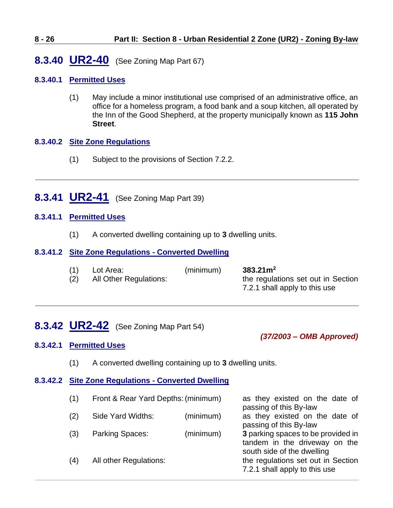# <span id="page-25-2"></span>**8.3.40 UR2-40** (See Zoning Map Part 67)

### **8.3.40.1 Permitted Uses**

(1) May include a minor institutional use comprised of an administrative office, an office for a homeless program, a food bank and a soup kitchen, all operated by the Inn of the Good Shepherd, at the property municipally known as **115 John Street**.

### **8.3.40.2 Site Zone Regulations**

- (1) Subject to the provisions of Section 7.2.2.
- <span id="page-25-0"></span>**8.3.41 UR2-41** (See Zoning Map Part 39)

### **8.3.41.1 Permitted Uses**

(1) A converted dwelling containing up to **3** dwelling units.

### **8.3.41.2 Site Zone Regulations - Converted Dwelling**

| (1) | Lot Area:              | (minimum) | $383.21 \text{m}^2$                |
|-----|------------------------|-----------|------------------------------------|
| (2) | All Other Regulations: |           | the regulations set out in Section |
|     |                        |           | 7.2.1 shall apply to this use      |

### <span id="page-25-1"></span>**8.3.42 UR2-42** (See Zoning Map Part 54)

#### *(37/2003 – OMB Approved)*

### **8.3.42.1 Permitted Uses**

(1) A converted dwelling containing up to **3** dwelling units.

### **8.3.42.2 Site Zone Regulations - Converted Dwelling**

| (1) | Front & Rear Yard Depths: (minimum) |           | as they existed on the date of<br>passing of this By-law                                          |
|-----|-------------------------------------|-----------|---------------------------------------------------------------------------------------------------|
| (2) | Side Yard Widths:                   | (minimum) | as they existed on the date of<br>passing of this By-law                                          |
| (3) | Parking Spaces:                     | (minimum) | 3 parking spaces to be provided in<br>tandem in the driveway on the<br>south side of the dwelling |
| (4) | All other Regulations:              |           | the regulations set out in Section<br>7.2.1 shall apply to this use                               |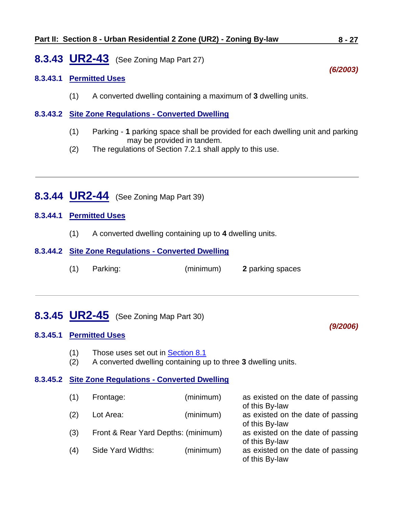### **Part II: Section 8 - Urban Residential 2 Zone (UR2) - Zoning By-law 8 - 27**

### <span id="page-26-0"></span>**8.3.43 UR2-43** (See Zoning Map Part 27)

### **8.3.43.1 Permitted Uses**

(1) A converted dwelling containing a maximum of **3** dwelling units.

#### **8.3.43.2 Site Zone Regulations - Converted Dwelling**

- (1) Parking **1** parking space shall be provided for each dwelling unit and parking may be provided in tandem.
- (2) The regulations of Section 7.2.1 shall apply to this use.
- <span id="page-26-1"></span>**8.3.44 UR2-44** (See Zoning Map Part 39)

#### **8.3.44.1 Permitted Uses**

(1) A converted dwelling containing up to **4** dwelling units.

### **8.3.44.2 Site Zone Regulations - Converted Dwelling**

(1) Parking: (minimum) **2** parking spaces

## <span id="page-26-2"></span>**8.3.45 UR2-45** (See Zoning Map Part 30)

#### **8.3.45.1 Permitted Uses**

- (1) Those uses set out in [Section 8.1](#page-0-0)
- (2) A converted dwelling containing up to three **3** dwelling units.

#### **8.3.45.2 Site Zone Regulations - Converted Dwelling**

| (1) | Frontage:                           | (minimum) | as existed on the date of passing<br>of this By-law |
|-----|-------------------------------------|-----------|-----------------------------------------------------|
| (2) | Lot Area:                           | (minimum) | as existed on the date of passing<br>of this By-law |
| (3) | Front & Rear Yard Depths: (minimum) |           | as existed on the date of passing<br>of this By-law |
| (4) | Side Yard Widths:                   | (minimum) | as existed on the date of passing<br>of this By-law |

*(6/2003)*

*(9/2006)*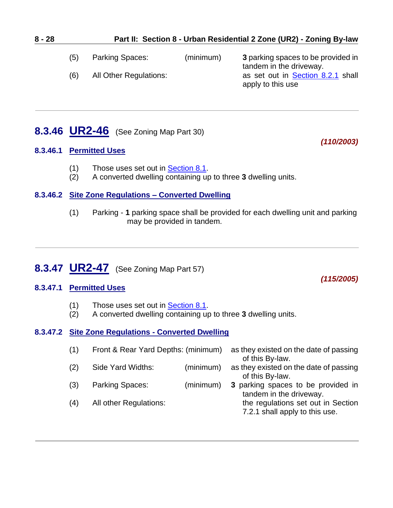| 8 - 28 | Part II: Section 8 - Urban Residential 2 Zone (UR2) - Zoning By-law |
|--------|---------------------------------------------------------------------|
|        |                                                                     |

(5) Parking Spaces: (minimum) **3** parking spaces to be provided in tandem in the driveway. (6) All Other Regulations: as set out in [Section 8.2.1](#page-0-1) shall apply to this use

## <span id="page-27-0"></span>**8.3.46 UR2-46** (See Zoning Map Part 30)

### **8.3.46.1 Permitted Uses**

- (1) Those uses set out in [Section 8.1.](#page-0-0)
- (2) A converted dwelling containing up to three **3** dwelling units.

### **8.3.46.2 Site Zone Regulations – Converted Dwelling**

(1) Parking - **1** parking space shall be provided for each dwelling unit and parking may be provided in tandem.

# <span id="page-27-1"></span>**8.3.47 UR2-47** (See Zoning Map Part 57)

### **8.3.47.1 Permitted Uses**

- (1) Those uses set out in [Section 8.1.](#page-0-0)
- (2) A converted dwelling containing up to three **3** dwelling units.

### **8.3.47.2 Site Zone Regulations - Converted Dwelling**

| (1) | Front & Rear Yard Depths: (minimum) |           | as they existed on the date of passing<br>of this By-law.            |
|-----|-------------------------------------|-----------|----------------------------------------------------------------------|
| (2) | Side Yard Widths:                   | (minimum) | as they existed on the date of passing<br>of this By-law.            |
| (3) | Parking Spaces:                     | (minimum) | 3 parking spaces to be provided in<br>tandem in the driveway.        |
| (4) | All other Regulations:              |           | the regulations set out in Section<br>7.2.1 shall apply to this use. |

*(110/2003)*

*(115/2005)*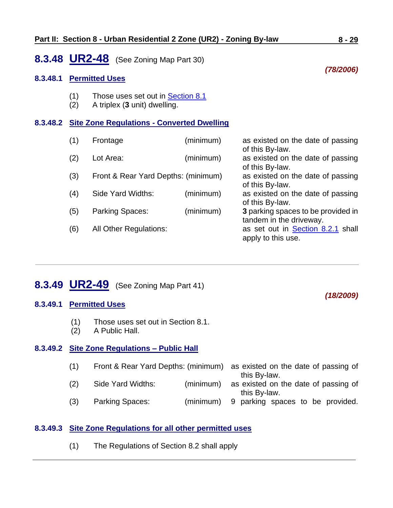### <span id="page-28-0"></span>**8.3.48 UR2-48** (See Zoning Map Part 30)

#### **8.3.48.1 Permitted Uses**

- (1) Those uses set out in [Section 8.1](#page-0-0)
- (2) A triplex (**3** unit) dwelling.

#### **8.3.48.2 Site Zone Regulations - Converted Dwelling**

| (1) | Frontage                            | (minimum) | as existed on the date of passing                    |
|-----|-------------------------------------|-----------|------------------------------------------------------|
|     | Lot Area:                           |           | of this By-law.                                      |
| (2) |                                     | (minimum) | as existed on the date of passing<br>of this By-law. |
| (3) | Front & Rear Yard Depths: (minimum) |           | as existed on the date of passing                    |
|     |                                     |           | of this By-law.                                      |
| (4) | Side Yard Widths:                   | (minimum) | as existed on the date of passing                    |
|     |                                     |           | of this By-law.                                      |
| (5) | Parking Spaces:                     | (minimum) | 3 parking spaces to be provided in                   |
|     |                                     |           | tandem in the driveway.                              |
| (6) | <b>All Other Regulations:</b>       |           | as set out in <b>Section 8.2.1</b> shall             |
|     |                                     |           | apply to this use.                                   |
|     |                                     |           |                                                      |

# <span id="page-28-1"></span>**8.3.49 UR2-49** (See Zoning Map Part 41)

#### **8.3.49.1 Permitted Uses**

- (1) Those uses set out in Section 8.1.
- (2) A Public Hall.

### **8.3.49.2 Site Zone Regulations – Public Hall**

| (1)             | Front & Rear Yard Depths: (minimum) as existed on the date of passing of |              |
|-----------------|--------------------------------------------------------------------------|--------------|
|                 |                                                                          | this By-law. |
| $\cdot$ $\cdot$ |                                                                          |              |

- (2) Side Yard Widths: (minimum) as existed on the date of passing of this By-law.
- (3) Parking Spaces: (minimum) 9 parking spaces to be provided.

### **8.3.49.3 Site Zone Regulations for all other permitted uses**

(1) The Regulations of Section 8.2 shall apply

#### *(78/2006)*

*(18/2009)*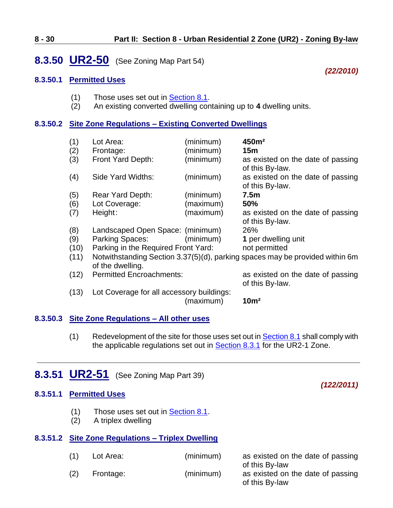### <span id="page-29-0"></span>**8.3.50 UR2-50** (See Zoning Map Part 54)

#### **8.3.50.1 Permitted Uses**

- (1) Those uses set out in  $\frac{\text{Section 8.1}}{\text{Solution}}$ .
- (2) An existing converted dwelling containing up to **4** dwelling units.

### **8.3.50.2 Site Zone Regulations – Existing Converted Dwellings**

| (1)<br>(2)<br>(3) | Lot Area:<br>Frontage:<br>Front Yard Depth: | (minimum)<br>(minimum)<br>(minimum) | 450m <sup>2</sup><br>15m<br>as existed on the date of passing                |
|-------------------|---------------------------------------------|-------------------------------------|------------------------------------------------------------------------------|
| (4)               | Side Yard Widths:                           | (minimum)                           | of this By-law.<br>as existed on the date of passing<br>of this By-law.      |
| (5)               | Rear Yard Depth:                            | (minimum)                           | 7.5 <sub>m</sub>                                                             |
| (6)               | Lot Coverage:                               | (maximum)                           | <b>50%</b>                                                                   |
| (7)               | Height:                                     | (maximum)                           | as existed on the date of passing<br>of this By-law.                         |
| (8)               | Landscaped Open Space: (minimum)            |                                     | 26%                                                                          |
| (9)               | Parking Spaces:                             | (minimum)                           | 1 per dwelling unit                                                          |
| (10)              | Parking in the Required Front Yard:         |                                     | not permitted                                                                |
| (11)              | of the dwelling.                            |                                     | Notwithstanding Section 3.37(5)(d), parking spaces may be provided within 6m |
| (12)              | <b>Permitted Encroachments:</b>             |                                     | as existed on the date of passing<br>of this By-law.                         |
| (13)              | Lot Coverage for all accessory buildings:   | (maximum)                           | 10 <sup>m²</sup>                                                             |

- **8.3.50.3 Site Zone Regulations – All other uses**
	- (1) Redevelopment of the site for those uses set out in **Section 8.1** shall comply with the applicable regulations set out in **Section 8.3.1** for the UR2-1 Zone.

## <span id="page-29-1"></span>**8.3.51 UR2-51** (See Zoning Map Part 39)

#### **8.3.51.1 Permitted Uses**

- (1) Those uses set out in [Section 8.1.](#page-0-0)
- (2) A triplex dwelling

#### **8.3.51.2 Site Zone Regulations – Triplex Dwelling**

| (1) | Lot Area: | (minimum) | as existed on the date of passing<br>of this By-law |
|-----|-----------|-----------|-----------------------------------------------------|
| (2) | Frontage: | (minimum) | as existed on the date of passing<br>of this By-law |

### *(22/2010)*

*(122/2011)*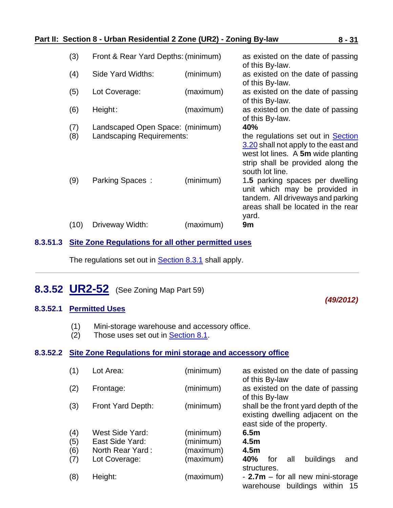### **Part II: Section 8 - Urban Residential 2 Zone (UR2) - Zoning By-law 8 - 31**

| (4)<br>(minimum)<br>Side Yard Widths:<br>as existed on the date of passing<br>of this By-law.<br>(5)<br>(maximum)<br>Lot Coverage:<br>as existed on the date of passing<br>of this By-law.<br>(6)<br>(maximum)<br>as existed on the date of passing<br>Height:<br>of this By-law.<br>(7)<br>40%<br>Landscaped Open Space: (minimum)<br>(8)<br>Landscaping Requirements:<br>the regulations set out in Section<br>3.20 shall not apply to the east and<br>west lot lines. A 5m wide planting<br>strip shall be provided along the<br>south lot line.<br>(minimum)<br>(9)<br>Parking Spaces:<br>1.5 parking spaces per dwelling<br>unit which may be provided in<br>tandem. All driveways and parking<br>areas shall be located in the rear<br>yard. | (3)  | Front & Rear Yard Depths: (minimum) |           | as existed on the date of passing<br>of this By-law. |
|----------------------------------------------------------------------------------------------------------------------------------------------------------------------------------------------------------------------------------------------------------------------------------------------------------------------------------------------------------------------------------------------------------------------------------------------------------------------------------------------------------------------------------------------------------------------------------------------------------------------------------------------------------------------------------------------------------------------------------------------------|------|-------------------------------------|-----------|------------------------------------------------------|
|                                                                                                                                                                                                                                                                                                                                                                                                                                                                                                                                                                                                                                                                                                                                                    |      |                                     |           |                                                      |
|                                                                                                                                                                                                                                                                                                                                                                                                                                                                                                                                                                                                                                                                                                                                                    |      |                                     |           |                                                      |
|                                                                                                                                                                                                                                                                                                                                                                                                                                                                                                                                                                                                                                                                                                                                                    |      |                                     |           |                                                      |
|                                                                                                                                                                                                                                                                                                                                                                                                                                                                                                                                                                                                                                                                                                                                                    |      |                                     |           |                                                      |
|                                                                                                                                                                                                                                                                                                                                                                                                                                                                                                                                                                                                                                                                                                                                                    |      |                                     |           |                                                      |
|                                                                                                                                                                                                                                                                                                                                                                                                                                                                                                                                                                                                                                                                                                                                                    |      |                                     |           |                                                      |
|                                                                                                                                                                                                                                                                                                                                                                                                                                                                                                                                                                                                                                                                                                                                                    |      |                                     |           |                                                      |
|                                                                                                                                                                                                                                                                                                                                                                                                                                                                                                                                                                                                                                                                                                                                                    | (10) | Driveway Width:                     | (maximum) | 9m                                                   |

### **8.3.51.3 Site Zone Regulations for all other permitted uses**

<span id="page-30-0"></span>The regulations set out in **Section 8.3.1** shall apply.

## **8.3.52 UR2-52** (See Zoning Map Part 59)

### *(49/2012)*

### **8.3.52.1 Permitted Uses**

- (1) Mini-storage warehouse and accessory office.
- (2) Those uses set out in [Section 8.1.](#page-0-0)

#### **8.3.52.2 Site Zone Regulations for mini storage and accessory office**

| (1) | Lot Area:         | (minimum) | as existed on the date of passing<br>of this By-law                                                     |
|-----|-------------------|-----------|---------------------------------------------------------------------------------------------------------|
| (2) | Frontage:         | (minimum) | as existed on the date of passing<br>of this By-law                                                     |
| (3) | Front Yard Depth: | (minimum) | shall be the front yard depth of the<br>existing dwelling adjacent on the<br>east side of the property. |
| (4) | West Side Yard:   | (minimum) | 6.5 <sub>m</sub>                                                                                        |
| (5) | East Side Yard:   | (minimum) | 4.5 <sub>m</sub>                                                                                        |
| (6) | North Rear Yard:  | (maximum) | 4.5 <sub>m</sub>                                                                                        |
| (7) | Lot Coverage:     | (maximum) | 40%<br>buildings<br>and<br>for<br>all<br>structures.                                                    |
| (8) | Height:           | (maximum) | - $2.7m$ – for all new mini-storage<br>buildings<br>warehouse<br>within<br>-15                          |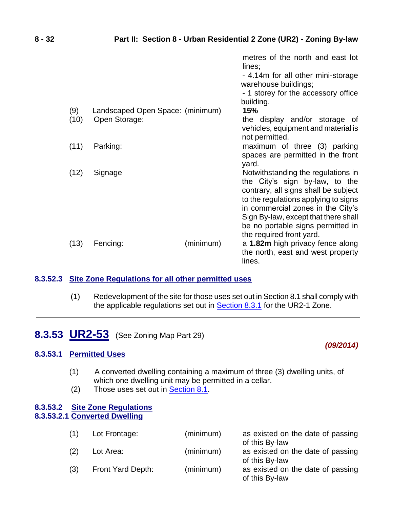|      |                                  |           | metres of the north and east lot<br>lines;                                                                                                                                                                                                                                                         |
|------|----------------------------------|-----------|----------------------------------------------------------------------------------------------------------------------------------------------------------------------------------------------------------------------------------------------------------------------------------------------------|
|      |                                  |           | - 4.14m for all other mini-storage<br>warehouse buildings;                                                                                                                                                                                                                                         |
|      |                                  |           | - 1 storey for the accessory office<br>building.                                                                                                                                                                                                                                                   |
| (9)  | Landscaped Open Space: (minimum) |           | 15%                                                                                                                                                                                                                                                                                                |
| (10) | Open Storage:                    |           | the display and/or storage of<br>vehicles, equipment and material is<br>not permitted.                                                                                                                                                                                                             |
| (11) | Parking:                         |           | maximum of three (3) parking<br>spaces are permitted in the front<br>yard.                                                                                                                                                                                                                         |
| (12) | Signage                          |           | Notwithstanding the regulations in<br>the City's sign by-law, to the<br>contrary, all signs shall be subject<br>to the regulations applying to signs<br>in commercial zones in the City's<br>Sign By-law, except that there shall<br>be no portable signs permitted in<br>the required front yard. |
| (13) | Fencing:                         | (minimum) | a 1.82m high privacy fence along<br>the north, east and west property<br>lines.                                                                                                                                                                                                                    |

#### **8.3.52.3 Site Zone Regulations for all other permitted uses**

(1) Redevelopment of the site for those uses set out in Section 8.1 shall comply with the applicable regulations set out in [Section 8.3.1](#page-3-0) for the UR2-1 Zone.

*(09/2014)*

# <span id="page-31-0"></span>**8.3.53 UR2-53** (See Zoning Map Part 29)

#### **8.3.53.1 Permitted Uses**

- (1) A converted dwelling containing a maximum of three (3) dwelling units, of which one dwelling unit may be permitted in a cellar.
- (2) Those uses set out in [Section 8.1.](#page-0-0)

#### **8.3.53.2 Site Zone Regulations 8.3.53.2.1 Converted Dwelling**

| (1) | Lot Frontage:     | (minimum) | as existed on the date of passing<br>of this By-law |
|-----|-------------------|-----------|-----------------------------------------------------|
| (2) | Lot Area:         | (minimum) | as existed on the date of passing<br>of this By-law |
| (3) | Front Yard Depth: | (minimum) | as existed on the date of passing<br>of this By-law |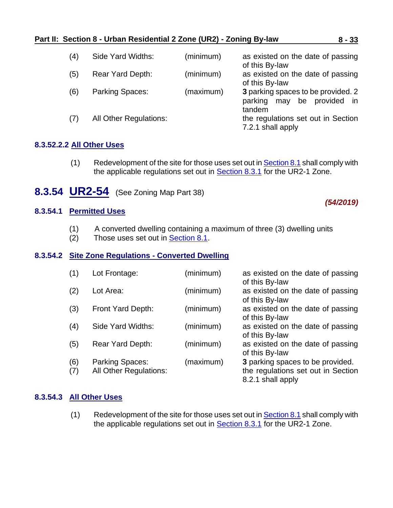### **Part II: Section 8 - Urban Residential 2 Zone (UR2) - Zoning By-law 8 - 33**

| (4) | Side Yard Widths:             | (minimum) | as existed on the date of passing<br>of this By-law                                   |
|-----|-------------------------------|-----------|---------------------------------------------------------------------------------------|
| (5) | Rear Yard Depth:              | (minimum) | as existed on the date of passing<br>of this By-law                                   |
| (6) | Parking Spaces:               | (maximum) | 3 parking spaces to be provided. 2<br>be provided<br>parking<br>may<br>- in<br>tandem |
| (7) | <b>All Other Regulations:</b> |           | the regulations set out in Section<br>7.2.1 shall apply                               |

### **8.3.52.2.2 All Other Uses**

- <span id="page-32-0"></span> $(1)$  Redevelopment of the site for those uses set out in **Section 8.1** shall comply with the applicable regulations set out in **Section 8.3.1** for the UR2-1 Zone.
- **8.3.54 UR2-54** (See Zoning Map Part 38)

### **8.3.54.1 Permitted Uses**

- (1) A converted dwelling containing a maximum of three (3) dwelling units
- (2) Those uses set out in [Section 8.1.](#page-0-0)

#### **8.3.54.2 Site Zone Regulations - Converted Dwelling**

| (1)        | Lot Frontage:                                    | (minimum) | as existed on the date of passing<br>of this By-law                                         |
|------------|--------------------------------------------------|-----------|---------------------------------------------------------------------------------------------|
| (2)        | Lot Area:                                        | (minimum) | as existed on the date of passing<br>of this By-law                                         |
| (3)        | Front Yard Depth:                                | (minimum) | as existed on the date of passing<br>of this By-law                                         |
| (4)        | Side Yard Widths:                                | (minimum) | as existed on the date of passing<br>of this By-law                                         |
| (5)        | Rear Yard Depth:                                 | (minimum) | as existed on the date of passing<br>of this By-law                                         |
| (6)<br>(7) | Parking Spaces:<br><b>All Other Regulations:</b> | (maximum) | 3 parking spaces to be provided.<br>the regulations set out in Section<br>8.2.1 shall apply |

### **8.3.54.3 All Other Uses**

(1) Redevelopment of the site for those uses set out in  $Section 8.1$  shall comply with the applicable regulations set out in [Section 8.3.1](#page-3-0) for the UR2-1 Zone.

*(54/2019)*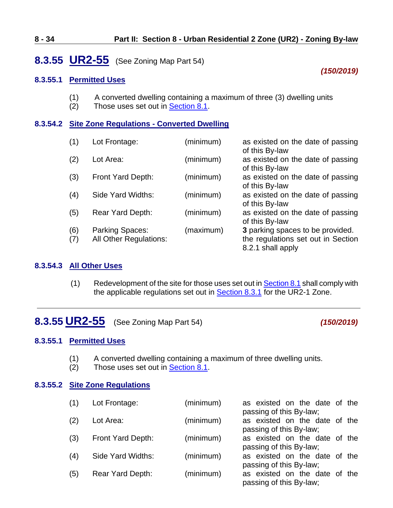## **8.3.55 UR2-55** (See Zoning Map Part 54)

### *(150/2019)*

### **8.3.55.1 Permitted Uses**

- (1) A converted dwelling containing a maximum of three (3) dwelling units  $(2)$  Those uses set out in Section 8.1.
- Those uses set out in [Section 8.1.](#page-0-0)

### **8.3.54.2 Site Zone Regulations - Converted Dwelling**

| (1)        | Lot Frontage:                                    | (minimum) | as existed on the date of passing<br>of this By-law                                         |
|------------|--------------------------------------------------|-----------|---------------------------------------------------------------------------------------------|
| (2)        | Lot Area:                                        | (minimum) | as existed on the date of passing<br>of this By-law                                         |
| (3)        | Front Yard Depth:                                | (minimum) | as existed on the date of passing<br>of this By-law                                         |
| (4)        | Side Yard Widths:                                | (minimum) | as existed on the date of passing<br>of this By-law                                         |
| (5)        | Rear Yard Depth:                                 | (minimum) | as existed on the date of passing<br>of this By-law                                         |
| (6)<br>(7) | Parking Spaces:<br><b>All Other Regulations:</b> | (maximum) | 3 parking spaces to be provided.<br>the regulations set out in Section<br>8.2.1 shall apply |

#### **8.3.54.3 All Other Uses**

(1) Redevelopment of the site for those uses set out i[n Section](#page-0-0) 8.1 shall comply with the applicable regulations set out in **Section 8.3.1** for the UR2-1 Zone.

# <span id="page-33-0"></span>**8.3.55 UR2-55** (See Zoning Map Part 54) *(150/2019)*

### **8.3.55.1 Permitted Uses**

- (1) A converted dwelling containing a maximum of three dwelling units.
- (2) Those uses set out in [Section](#page-0-0) 8.1.

### **8.3.55.2 Site Zone Regulations**

| (1) | Lot Frontage:     | (minimum) | as existed on the date of the                            |
|-----|-------------------|-----------|----------------------------------------------------------|
| (2) | Lot Area:         | (minimum) | passing of this By-law;<br>as existed on the date of the |
|     |                   |           | passing of this By-law;                                  |
| (3) | Front Yard Depth: | (minimum) | as existed on the date of the                            |
|     |                   |           | passing of this By-law;                                  |
| (4) | Side Yard Widths: | (minimum) | as existed on the date of the                            |
|     |                   |           | passing of this By-law;                                  |
| (5) | Rear Yard Depth:  | (minimum) | as existed on the date of the                            |
|     |                   |           | passing of this By-law;                                  |